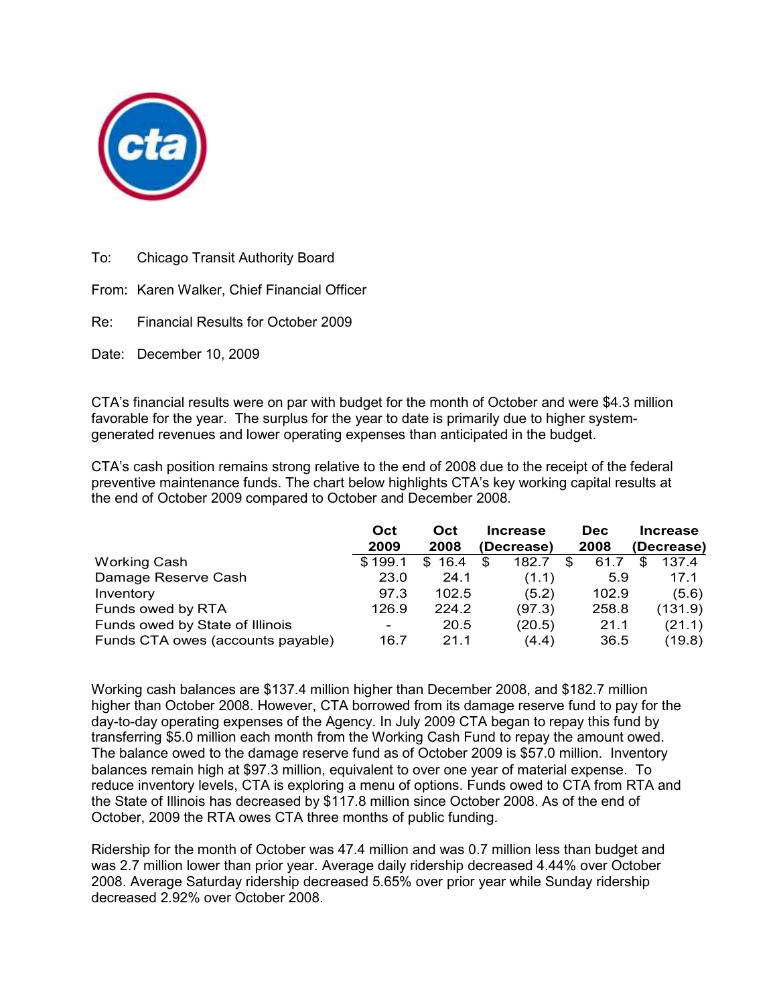

To: Chicago Transit Authority Board

From: Karen Walker, Chief Financial Officer

Re: Financial Results for October 2009

Date: December 10, 2009

CTA's financial results were on par with budget for the month of October and were \$4.3 million favorable for the year. The surplus for the year to date is primarily due to higher systemgenerated revenues and lower operating expenses than anticipated in the budget.

CTA's cash position remains strong relative to the end of 2008 due to the receipt of the federal preventive maintenance funds. The chart below highlights CTA's key working capital results at the end of October 2009 compared to October and December 2008.

|                                   | Oct<br>2009 | Oct<br>2008 | <b>Increase</b><br>(Decrease) | <b>Dec</b><br>2008 | <b>Increase</b><br>(Decrease) |
|-----------------------------------|-------------|-------------|-------------------------------|--------------------|-------------------------------|
| <b>Working Cash</b>               | \$199.1     | 16.4<br>\$. | \$<br>182.7                   | 61.7<br>S          | 137.4                         |
| Damage Reserve Cash               | 23.0        | 24.1        | (1.1)                         | 5.9                | 17.1                          |
| Inventory                         | 97.3        | 102.5       | (5.2)                         | 102.9              | (5.6)                         |
| Funds owed by RTA                 | 126.9       | 224.2       | (97.3)                        | 258.8              | (131.9)                       |
| Funds owed by State of Illinois   | ۰           | 20.5        | (20.5)                        | 21.1               | (21.1)                        |
| Funds CTA owes (accounts payable) | 16.7        | 21.1        | (4.4)                         | 36.5               | (19.8)                        |

Working cash balances are \$137.4 million higher than December 2008, and \$182.7 million higher than October 2008. However, CTA borrowed from its damage reserve fund to pay for the day-to-day operating expenses of the Agency. In July 2009 CTA began to repay this fund by transferring \$5.0 million each month from the Working Cash Fund to repay the amount owed. The balance owed to the damage reserve fund as of October 2009 is \$57.0 million. Inventory balances remain high at \$97.3 million, equivalent to over one year of material expense. To reduce inventory levels, CTA is exploring a menu of options. Funds owed to CTA from RTA and the State of Illinois has decreased by \$117.8 million since October 2008. As of the end of October, 2009 the RTA owes CTA three months of public funding.

Ridership for the month of October was 47.4 million and was 0.7 million less than budget and was 2.7 million lower than prior year. Average daily ridership decreased 4.44% over October 2008. Average Saturday ridership decreased 5.65% over prior year while Sunday ridership decreased 2.92% over October 2008.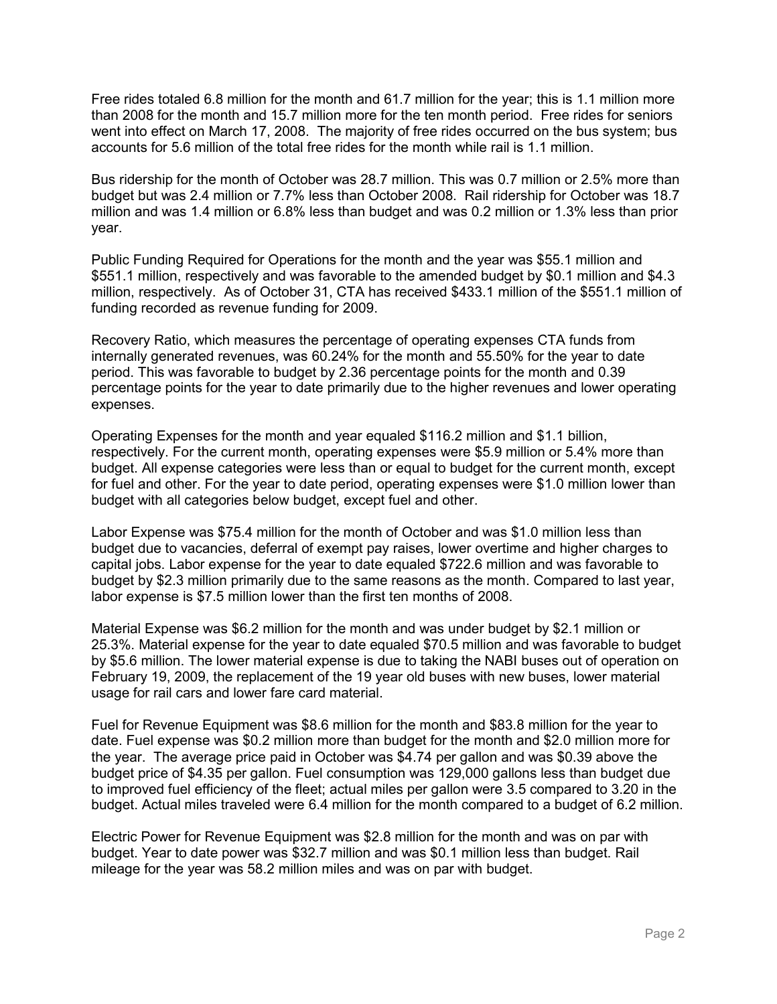Free rides totaled 6.8 million for the month and 61.7 million for the year; this is 1.1 million more than 2008 for the month and 15.7 million more for the ten month period. Free rides for seniors went into effect on March 17, 2008. The majority of free rides occurred on the bus system; bus accounts for 5.6 million of the total free rides for the month while rail is 1.1 million.

Bus ridership for the month of October was 28.7 million. This was 0.7 million or 2.5% more than budget but was 2.4 million or 7.7% less than October 2008. Rail ridership for October was 18.7 million and was 1.4 million or 6.8% less than budget and was 0.2 million or 1.3% less than prior year.

Public Funding Required for Operations for the month and the year was \$55.1 million and \$551.1 million, respectively and was favorable to the amended budget by \$0.1 million and \$4.3 million, respectively. As of October 31, CTA has received \$433.1 million of the \$551.1 million of funding recorded as revenue funding for 2009.

Recovery Ratio, which measures the percentage of operating expenses CTA funds from internally generated revenues, was 60.24% for the month and 55.50% for the year to date period. This was favorable to budget by 2.36 percentage points for the month and 0.39 percentage points for the year to date primarily due to the higher revenues and lower operating expenses.

Operating Expenses for the month and year equaled \$116.2 million and \$1.1 billion, respectively. For the current month, operating expenses were \$5.9 million or 5.4% more than budget. All expense categories were less than or equal to budget for the current month, except for fuel and other. For the year to date period, operating expenses were \$1.0 million lower than budget with all categories below budget, except fuel and other.

Labor Expense was \$75.4 million for the month of October and was \$1.0 million less than budget due to vacancies, deferral of exempt pay raises, lower overtime and higher charges to capital jobs. Labor expense for the year to date equaled \$722.6 million and was favorable to budget by \$2.3 million primarily due to the same reasons as the month. Compared to last year, labor expense is \$7.5 million lower than the first ten months of 2008.

Material Expense was \$6.2 million for the month and was under budget by \$2.1 million or 25.3%. Material expense for the year to date equaled \$70.5 million and was favorable to budget by \$5.6 million. The lower material expense is due to taking the NABI buses out of operation on February 19, 2009, the replacement of the 19 year old buses with new buses, lower material usage for rail cars and lower fare card material.

Fuel for Revenue Equipment was \$8.6 million for the month and \$83.8 million for the year to date. Fuel expense was \$0.2 million more than budget for the month and \$2.0 million more for the year. The average price paid in October was \$4.74 per gallon and was \$0.39 above the budget price of \$4.35 per gallon. Fuel consumption was 129,000 gallons less than budget due to improved fuel efficiency of the fleet; actual miles per gallon were 3.5 compared to 3.20 in the budget. Actual miles traveled were 6.4 million for the month compared to a budget of 6.2 million.

Electric Power for Revenue Equipment was \$2.8 million for the month and was on par with budget. Year to date power was \$32.7 million and was \$0.1 million less than budget. Rail mileage for the year was 58.2 million miles and was on par with budget.